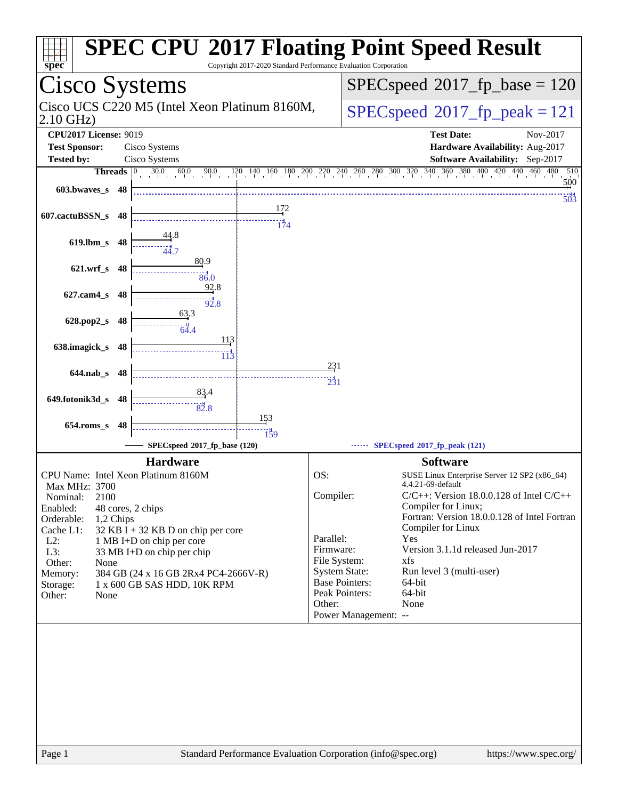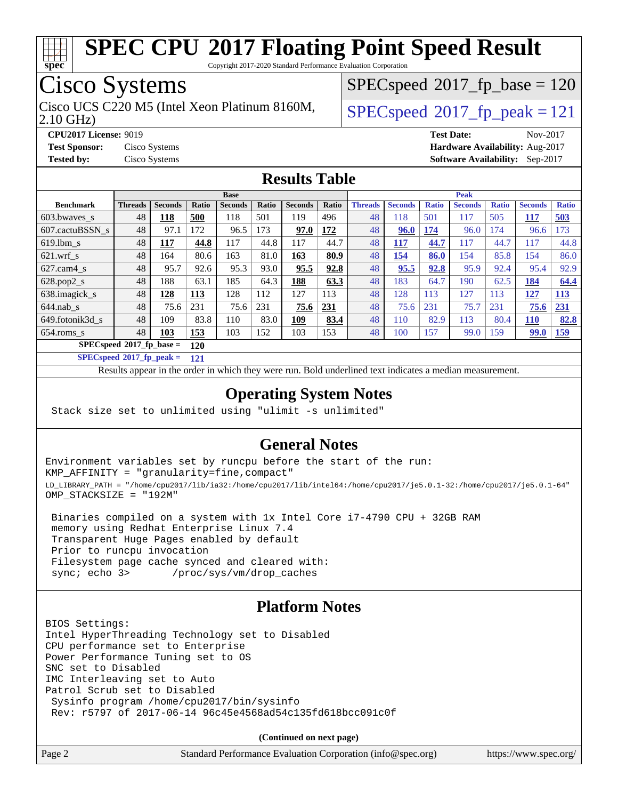

Copyright 2017-2020 Standard Performance Evaluation Corporation

# Cisco Systems

2.10 GHz) Cisco UCS C220 M5 (Intel Xeon Platinum 8160M,  $\big|$  [SPECspeed](http://www.spec.org/auto/cpu2017/Docs/result-fields.html#SPECspeed2017fppeak)®2017 fp\_peak = 121

[SPECspeed](http://www.spec.org/auto/cpu2017/Docs/result-fields.html#SPECspeed2017fpbase)<sup>®</sup>2017 fp base = 120

**[CPU2017 License:](http://www.spec.org/auto/cpu2017/Docs/result-fields.html#CPU2017License)** 9019 **[Test Date:](http://www.spec.org/auto/cpu2017/Docs/result-fields.html#TestDate)** Nov-2017 **[Test Sponsor:](http://www.spec.org/auto/cpu2017/Docs/result-fields.html#TestSponsor)** Cisco Systems **[Hardware Availability:](http://www.spec.org/auto/cpu2017/Docs/result-fields.html#HardwareAvailability)** Aug-2017 **[Tested by:](http://www.spec.org/auto/cpu2017/Docs/result-fields.html#Testedby)** Cisco Systems **[Software Availability:](http://www.spec.org/auto/cpu2017/Docs/result-fields.html#SoftwareAvailability)** Sep-2017

#### **[Results Table](http://www.spec.org/auto/cpu2017/Docs/result-fields.html#ResultsTable)**

|                                   | <b>Base</b>    |                |              |                |       | <b>Peak</b>    |       |                |                |              |                |              |                |              |
|-----------------------------------|----------------|----------------|--------------|----------------|-------|----------------|-------|----------------|----------------|--------------|----------------|--------------|----------------|--------------|
| <b>Benchmark</b>                  | <b>Threads</b> | <b>Seconds</b> | <b>Ratio</b> | <b>Seconds</b> | Ratio | <b>Seconds</b> | Ratio | <b>Threads</b> | <b>Seconds</b> | <b>Ratio</b> | <b>Seconds</b> | <b>Ratio</b> | <b>Seconds</b> | <b>Ratio</b> |
| $603.bwaves$ s                    | 48             | 118            | 500          | 118            | 501   | 119            | 496   | 48             | 118            | 501          | 117            | 505          | <b>117</b>     | 503          |
| 607.cactuBSSN s                   | 48             | 97.1           | 172          | 96.5           | 173   | 97.0           | 172   | 48             | 96.0           | 174          | 96.0           | 174          | 96.6           | 173          |
| $619.1$ bm s                      | 48             | 117            | 44.8         | 117            | 44.8  | 117            | 44.7  | 48             | <u> 117</u>    | 44.7         | 117            | 44.7         | 117            | 44.8         |
| $621$ .wrf s                      | 48             | 164            | 80.6         | 163            | 81.0  | 163            | 80.9  | 48             | 154            | 86.0         | 154            | 85.8         | 154            | 86.0         |
| $627$ .cam4 s                     | 48             | 95.7           | 92.6         | 95.3           | 93.0  | 95.5           | 92.8  | 48             | 95.5           | 92.8         | 95.9           | 92.4         | 95.4           | 92.9         |
| $628.pop2_s$                      | 48             | 188            | 63.1         | 185            | 64.3  | 188            | 63.3  | 48             | 183            | 64.7         | 190            | 62.5         | <u>184</u>     | 64.4         |
| 638.imagick_s                     | 48             | 128            | 113          | 128            | 112   | 127            | 113   | 48             | 128            | 113          | 127            | 113          | 127            | <b>113</b>   |
| $644$ .nab s                      | 48             | 75.6           | 231          | 75.6           | 231   | 75.6           | 231   | 48             | 75.6           | 231          | 75.7           | 231          | 75.6           | 231          |
| 649.fotonik3d s                   | 48             | 109            | 83.8         | 110            | 83.0  | 109            | 83.4  | 48             | 110            | 82.9         | 113            | 80.4         | <b>110</b>     | 82.8         |
| $654$ .roms s                     | 48             | 103            | 153          | 103            | 152   | 103            | 153   | 48             | 100            | 157          | 99.0           | 159          | <b>99.0</b>    | 159          |
| $SPECspeed*2017$ fp base =<br>120 |                |                |              |                |       |                |       |                |                |              |                |              |                |              |

**[SPECspeed](http://www.spec.org/auto/cpu2017/Docs/result-fields.html#SPECspeed2017fppeak)[2017\\_fp\\_peak =](http://www.spec.org/auto/cpu2017/Docs/result-fields.html#SPECspeed2017fppeak) 121**

Results appear in the [order in which they were run.](http://www.spec.org/auto/cpu2017/Docs/result-fields.html#RunOrder) Bold underlined text [indicates a median measurement](http://www.spec.org/auto/cpu2017/Docs/result-fields.html#Median).

#### **[Operating System Notes](http://www.spec.org/auto/cpu2017/Docs/result-fields.html#OperatingSystemNotes)**

Stack size set to unlimited using "ulimit -s unlimited"

#### **[General Notes](http://www.spec.org/auto/cpu2017/Docs/result-fields.html#GeneralNotes)**

Environment variables set by runcpu before the start of the run: KMP\_AFFINITY = "granularity=fine,compact" LD\_LIBRARY\_PATH = "/home/cpu2017/lib/ia32:/home/cpu2017/lib/intel64:/home/cpu2017/je5.0.1-32:/home/cpu2017/je5.0.1-64" OMP\_STACKSIZE = "192M"

 Binaries compiled on a system with 1x Intel Core i7-4790 CPU + 32GB RAM memory using Redhat Enterprise Linux 7.4 Transparent Huge Pages enabled by default Prior to runcpu invocation Filesystem page cache synced and cleared with: sync; echo 3> /proc/sys/vm/drop\_caches

#### **[Platform Notes](http://www.spec.org/auto/cpu2017/Docs/result-fields.html#PlatformNotes)**

BIOS Settings: Intel HyperThreading Technology set to Disabled CPU performance set to Enterprise Power Performance Tuning set to OS SNC set to Disabled IMC Interleaving set to Auto Patrol Scrub set to Disabled Sysinfo program /home/cpu2017/bin/sysinfo Rev: r5797 of 2017-06-14 96c45e4568ad54c135fd618bcc091c0f

**(Continued on next page)**

| Page 2 | Standard Performance Evaluation Corporation (info@spec.org) | https://www.spec.org/ |
|--------|-------------------------------------------------------------|-----------------------|
|--------|-------------------------------------------------------------|-----------------------|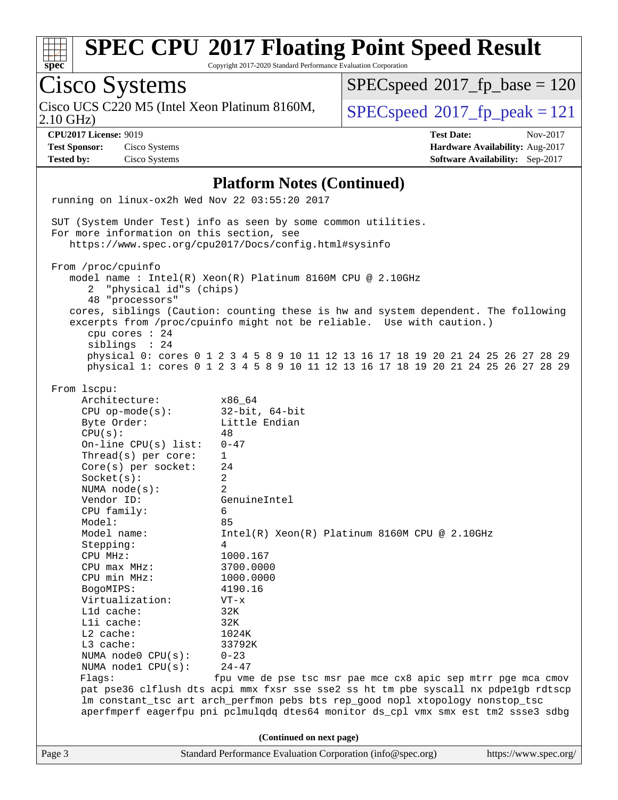

**(Continued on next page)**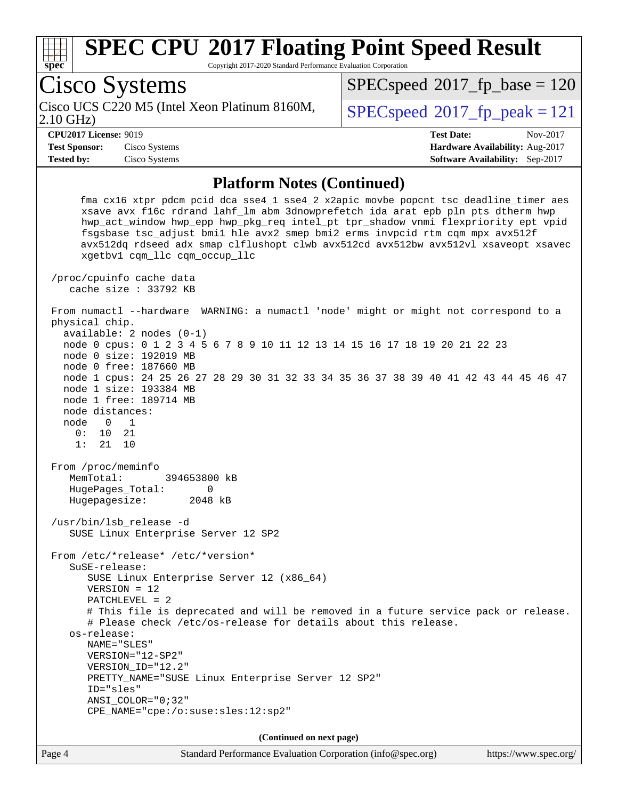

 node 0 size: 192019 MB node 0 free: 187660 MB node 1 cpus: 24 25 26 27 28 29 30 31 32 33 34 35 36 37 38 39 40 41 42 43 44 45 46 47 node 1 size: 193384 MB node 1 free: 189714 MB node distances: node 0 1 0: 10 21 1: 21 10 From /proc/meminfo MemTotal: 394653800 kB HugePages\_Total: 0 Hugepagesize: 2048 kB /usr/bin/lsb\_release -d SUSE Linux Enterprise Server 12 SP2 From /etc/\*release\* /etc/\*version\* SuSE-release: SUSE Linux Enterprise Server 12 (x86\_64) VERSION = 12 PATCHLEVEL = 2 # This file is deprecated and will be removed in a future service pack or release. # Please check /etc/os-release for details about this release. os-release: NAME="SLES" VERSION="12-SP2" VERSION\_ID="12.2" PRETTY\_NAME="SUSE Linux Enterprise Server 12 SP2" ID="sles" ANSI\_COLOR="0;32" CPE\_NAME="cpe:/o:suse:sles:12:sp2" **(Continued on next page)**

Page 4 Standard Performance Evaluation Corporation [\(info@spec.org\)](mailto:info@spec.org) <https://www.spec.org/>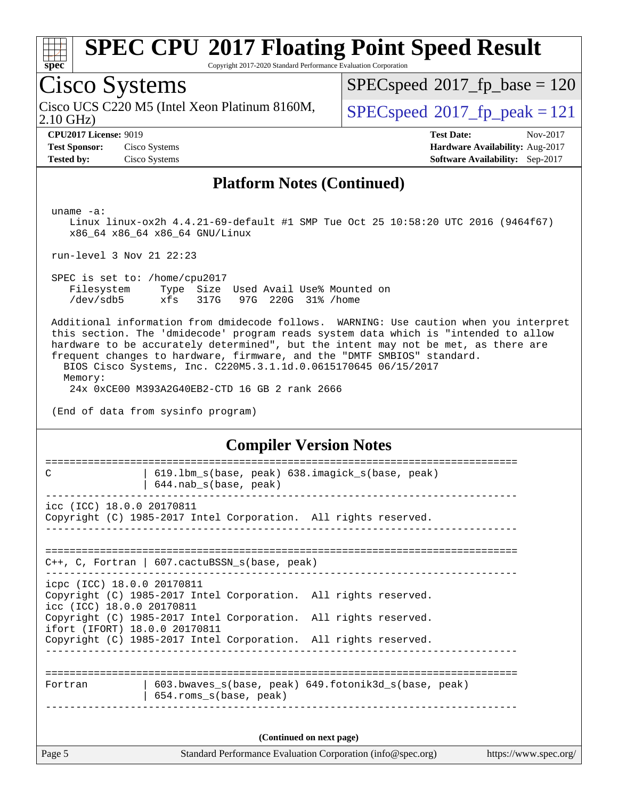

Copyright 2017-2020 Standard Performance Evaluation Corporation

# Cisco Systems

2.10 GHz) Cisco UCS C220 M5 (Intel Xeon Platinum 8160M,  $\big|$  [SPECspeed](http://www.spec.org/auto/cpu2017/Docs/result-fields.html#SPECspeed2017fppeak)®[2017\\_fp\\_peak = 1](http://www.spec.org/auto/cpu2017/Docs/result-fields.html#SPECspeed2017fppeak)21

 $SPEC speed$ <sup>®</sup>[2017\\_fp\\_base = 1](http://www.spec.org/auto/cpu2017/Docs/result-fields.html#SPECspeed2017fpbase)20

**[Tested by:](http://www.spec.org/auto/cpu2017/Docs/result-fields.html#Testedby)** Cisco Systems **[Software Availability:](http://www.spec.org/auto/cpu2017/Docs/result-fields.html#SoftwareAvailability)** Sep-2017

**[CPU2017 License:](http://www.spec.org/auto/cpu2017/Docs/result-fields.html#CPU2017License)** 9019 **[Test Date:](http://www.spec.org/auto/cpu2017/Docs/result-fields.html#TestDate)** Nov-2017 **[Test Sponsor:](http://www.spec.org/auto/cpu2017/Docs/result-fields.html#TestSponsor)** Cisco Systems **[Hardware Availability:](http://www.spec.org/auto/cpu2017/Docs/result-fields.html#HardwareAvailability)** Aug-2017

#### **[Platform Notes \(Continued\)](http://www.spec.org/auto/cpu2017/Docs/result-fields.html#PlatformNotes)**

uname -a:

 Linux linux-ox2h 4.4.21-69-default #1 SMP Tue Oct 25 10:58:20 UTC 2016 (9464f67) x86\_64 x86\_64 x86\_64 GNU/Linux

run-level 3 Nov 21 22:23

 SPEC is set to: /home/cpu2017 Filesystem Type Size Used Avail Use% Mounted on /dev/sdb5 xfs 317G 97G 220G 31% /home

 Additional information from dmidecode follows. WARNING: Use caution when you interpret this section. The 'dmidecode' program reads system data which is "intended to allow hardware to be accurately determined", but the intent may not be met, as there are frequent changes to hardware, firmware, and the "DMTF SMBIOS" standard.

 BIOS Cisco Systems, Inc. C220M5.3.1.1d.0.0615170645 06/15/2017 Memory:

24x 0xCE00 M393A2G40EB2-CTD 16 GB 2 rank 2666

(End of data from sysinfo program)

#### **[Compiler Version Notes](http://www.spec.org/auto/cpu2017/Docs/result-fields.html#CompilerVersionNotes)**

| C                                                                                        | 619.1bm_s(base, peak) 638.imagick_s(base, peak)<br>644.nab_s(base, peak)                                                           |  |
|------------------------------------------------------------------------------------------|------------------------------------------------------------------------------------------------------------------------------------|--|
| icc (ICC) 18.0.0 20170811                                                                | Copyright (C) 1985-2017 Intel Corporation. All rights reserved.                                                                    |  |
|                                                                                          | $C++$ , C, Fortran   607. cactuBSSN s(base, peak)                                                                                  |  |
| icpc (ICC) 18.0.0 20170811<br>icc (ICC) 18.0.0 20170811<br>ifort (IFORT) 18.0.0 20170811 | Copyright (C) 1985-2017 Intel Corporation. All rights reserved.<br>Copyright (C) 1985-2017 Intel Corporation. All rights reserved. |  |
|                                                                                          | Copyright (C) 1985-2017 Intel Corporation. All rights reserved.                                                                    |  |
| Fortran                                                                                  | 603.bwaves s(base, peak) 649.fotonik3d s(base, peak)<br>654.roms_s(base, peak)                                                     |  |
|                                                                                          | (Continued on next page)                                                                                                           |  |
| Page 5                                                                                   | https://www.spec.org/                                                                                                              |  |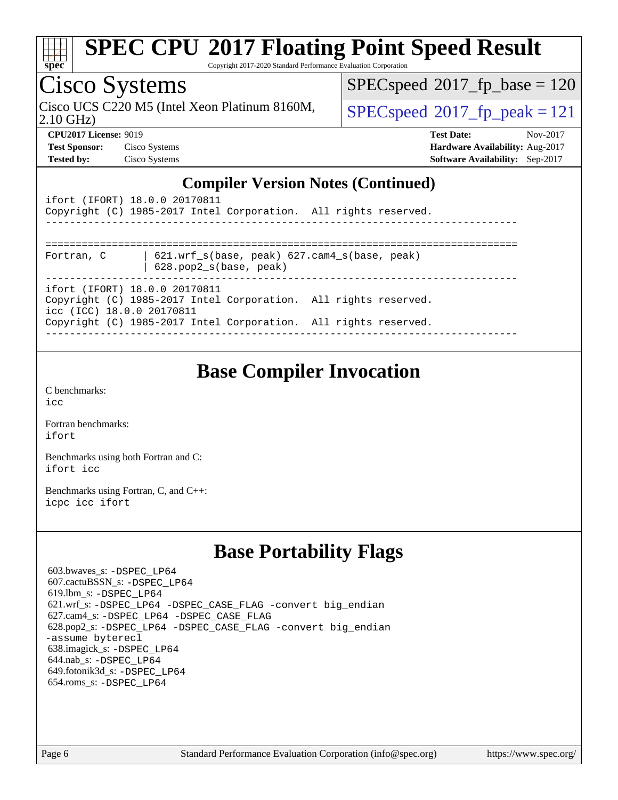

Copyright 2017-2020 Standard Performance Evaluation Corporation

## Cisco Systems

2.10 GHz) Cisco UCS C220 M5 (Intel Xeon Platinum 8160M,  $\big|$  [SPECspeed](http://www.spec.org/auto/cpu2017/Docs/result-fields.html#SPECspeed2017fppeak)®[2017\\_fp\\_peak = 1](http://www.spec.org/auto/cpu2017/Docs/result-fields.html#SPECspeed2017fppeak)21

 $SPECspeed^{\circledcirc}2017_fp\_base = 120$  $SPECspeed^{\circledcirc}2017_fp\_base = 120$ 

**[CPU2017 License:](http://www.spec.org/auto/cpu2017/Docs/result-fields.html#CPU2017License)** 9019 **[Test Date:](http://www.spec.org/auto/cpu2017/Docs/result-fields.html#TestDate)** Nov-2017 **[Test Sponsor:](http://www.spec.org/auto/cpu2017/Docs/result-fields.html#TestSponsor)** Cisco Systems **[Hardware Availability:](http://www.spec.org/auto/cpu2017/Docs/result-fields.html#HardwareAvailability)** Aug-2017 **[Tested by:](http://www.spec.org/auto/cpu2017/Docs/result-fields.html#Testedby)** Cisco Systems **[Software Availability:](http://www.spec.org/auto/cpu2017/Docs/result-fields.html#SoftwareAvailability)** Sep-2017

#### **[Compiler Version Notes \(Continued\)](http://www.spec.org/auto/cpu2017/Docs/result-fields.html#CompilerVersionNotes)**

| ifort (IFORT) 18.0.0 20170811<br>Copyright (C) 1985-2017 Intel Corporation. All rights reserved.                                                                                                 |  |
|--------------------------------------------------------------------------------------------------------------------------------------------------------------------------------------------------|--|
| 621.wrf $s(base, peak)$ 627. $cam4$ $s(base, peak)$<br>Fortran, C<br>628.pop2_s(base, peak)                                                                                                      |  |
| ifort (IFORT) 18.0.0 20170811<br>Copyright (C) 1985-2017 Intel Corporation. All rights reserved.<br>icc (ICC) 18.0.0 20170811<br>Copyright (C) 1985-2017 Intel Corporation. All rights reserved. |  |

### **[Base Compiler Invocation](http://www.spec.org/auto/cpu2017/Docs/result-fields.html#BaseCompilerInvocation)**

[C benchmarks](http://www.spec.org/auto/cpu2017/Docs/result-fields.html#Cbenchmarks): [icc](http://www.spec.org/cpu2017/results/res2017q4/cpu2017-20171128-01109.flags.html#user_CCbase_intel_icc_18.0_66fc1ee009f7361af1fbd72ca7dcefbb700085f36577c54f309893dd4ec40d12360134090235512931783d35fd58c0460139e722d5067c5574d8eaf2b3e37e92)

[Fortran benchmarks](http://www.spec.org/auto/cpu2017/Docs/result-fields.html#Fortranbenchmarks): [ifort](http://www.spec.org/cpu2017/results/res2017q4/cpu2017-20171128-01109.flags.html#user_FCbase_intel_ifort_18.0_8111460550e3ca792625aed983ce982f94888b8b503583aa7ba2b8303487b4d8a21a13e7191a45c5fd58ff318f48f9492884d4413fa793fd88dd292cad7027ca)

[Benchmarks using both Fortran and C](http://www.spec.org/auto/cpu2017/Docs/result-fields.html#BenchmarksusingbothFortranandC): [ifort](http://www.spec.org/cpu2017/results/res2017q4/cpu2017-20171128-01109.flags.html#user_CC_FCbase_intel_ifort_18.0_8111460550e3ca792625aed983ce982f94888b8b503583aa7ba2b8303487b4d8a21a13e7191a45c5fd58ff318f48f9492884d4413fa793fd88dd292cad7027ca) [icc](http://www.spec.org/cpu2017/results/res2017q4/cpu2017-20171128-01109.flags.html#user_CC_FCbase_intel_icc_18.0_66fc1ee009f7361af1fbd72ca7dcefbb700085f36577c54f309893dd4ec40d12360134090235512931783d35fd58c0460139e722d5067c5574d8eaf2b3e37e92)

[Benchmarks using Fortran, C, and C++:](http://www.spec.org/auto/cpu2017/Docs/result-fields.html#BenchmarksusingFortranCandCXX) [icpc](http://www.spec.org/cpu2017/results/res2017q4/cpu2017-20171128-01109.flags.html#user_CC_CXX_FCbase_intel_icpc_18.0_c510b6838c7f56d33e37e94d029a35b4a7bccf4766a728ee175e80a419847e808290a9b78be685c44ab727ea267ec2f070ec5dc83b407c0218cded6866a35d07) [icc](http://www.spec.org/cpu2017/results/res2017q4/cpu2017-20171128-01109.flags.html#user_CC_CXX_FCbase_intel_icc_18.0_66fc1ee009f7361af1fbd72ca7dcefbb700085f36577c54f309893dd4ec40d12360134090235512931783d35fd58c0460139e722d5067c5574d8eaf2b3e37e92) [ifort](http://www.spec.org/cpu2017/results/res2017q4/cpu2017-20171128-01109.flags.html#user_CC_CXX_FCbase_intel_ifort_18.0_8111460550e3ca792625aed983ce982f94888b8b503583aa7ba2b8303487b4d8a21a13e7191a45c5fd58ff318f48f9492884d4413fa793fd88dd292cad7027ca)

### **[Base Portability Flags](http://www.spec.org/auto/cpu2017/Docs/result-fields.html#BasePortabilityFlags)**

 603.bwaves\_s: [-DSPEC\\_LP64](http://www.spec.org/cpu2017/results/res2017q4/cpu2017-20171128-01109.flags.html#suite_basePORTABILITY603_bwaves_s_DSPEC_LP64) 607.cactuBSSN\_s: [-DSPEC\\_LP64](http://www.spec.org/cpu2017/results/res2017q4/cpu2017-20171128-01109.flags.html#suite_basePORTABILITY607_cactuBSSN_s_DSPEC_LP64) 619.lbm\_s: [-DSPEC\\_LP64](http://www.spec.org/cpu2017/results/res2017q4/cpu2017-20171128-01109.flags.html#suite_basePORTABILITY619_lbm_s_DSPEC_LP64) 621.wrf\_s: [-DSPEC\\_LP64](http://www.spec.org/cpu2017/results/res2017q4/cpu2017-20171128-01109.flags.html#suite_basePORTABILITY621_wrf_s_DSPEC_LP64) [-DSPEC\\_CASE\\_FLAG](http://www.spec.org/cpu2017/results/res2017q4/cpu2017-20171128-01109.flags.html#b621.wrf_s_baseCPORTABILITY_DSPEC_CASE_FLAG) [-convert big\\_endian](http://www.spec.org/cpu2017/results/res2017q4/cpu2017-20171128-01109.flags.html#user_baseFPORTABILITY621_wrf_s_convert_big_endian_c3194028bc08c63ac5d04de18c48ce6d347e4e562e8892b8bdbdc0214820426deb8554edfa529a3fb25a586e65a3d812c835984020483e7e73212c4d31a38223) 627.cam4\_s: [-DSPEC\\_LP64](http://www.spec.org/cpu2017/results/res2017q4/cpu2017-20171128-01109.flags.html#suite_basePORTABILITY627_cam4_s_DSPEC_LP64) [-DSPEC\\_CASE\\_FLAG](http://www.spec.org/cpu2017/results/res2017q4/cpu2017-20171128-01109.flags.html#b627.cam4_s_baseCPORTABILITY_DSPEC_CASE_FLAG) 628.pop2\_s: [-DSPEC\\_LP64](http://www.spec.org/cpu2017/results/res2017q4/cpu2017-20171128-01109.flags.html#suite_basePORTABILITY628_pop2_s_DSPEC_LP64) [-DSPEC\\_CASE\\_FLAG](http://www.spec.org/cpu2017/results/res2017q4/cpu2017-20171128-01109.flags.html#b628.pop2_s_baseCPORTABILITY_DSPEC_CASE_FLAG) [-convert big\\_endian](http://www.spec.org/cpu2017/results/res2017q4/cpu2017-20171128-01109.flags.html#user_baseFPORTABILITY628_pop2_s_convert_big_endian_c3194028bc08c63ac5d04de18c48ce6d347e4e562e8892b8bdbdc0214820426deb8554edfa529a3fb25a586e65a3d812c835984020483e7e73212c4d31a38223) [-assume byterecl](http://www.spec.org/cpu2017/results/res2017q4/cpu2017-20171128-01109.flags.html#user_baseFPORTABILITY628_pop2_s_assume_byterecl_7e47d18b9513cf18525430bbf0f2177aa9bf368bc7a059c09b2c06a34b53bd3447c950d3f8d6c70e3faf3a05c8557d66a5798b567902e8849adc142926523472) 638.imagick\_s: [-DSPEC\\_LP64](http://www.spec.org/cpu2017/results/res2017q4/cpu2017-20171128-01109.flags.html#suite_basePORTABILITY638_imagick_s_DSPEC_LP64) 644.nab\_s: [-DSPEC\\_LP64](http://www.spec.org/cpu2017/results/res2017q4/cpu2017-20171128-01109.flags.html#suite_basePORTABILITY644_nab_s_DSPEC_LP64) 649.fotonik3d\_s: [-DSPEC\\_LP64](http://www.spec.org/cpu2017/results/res2017q4/cpu2017-20171128-01109.flags.html#suite_basePORTABILITY649_fotonik3d_s_DSPEC_LP64) 654.roms\_s: [-DSPEC\\_LP64](http://www.spec.org/cpu2017/results/res2017q4/cpu2017-20171128-01109.flags.html#suite_basePORTABILITY654_roms_s_DSPEC_LP64)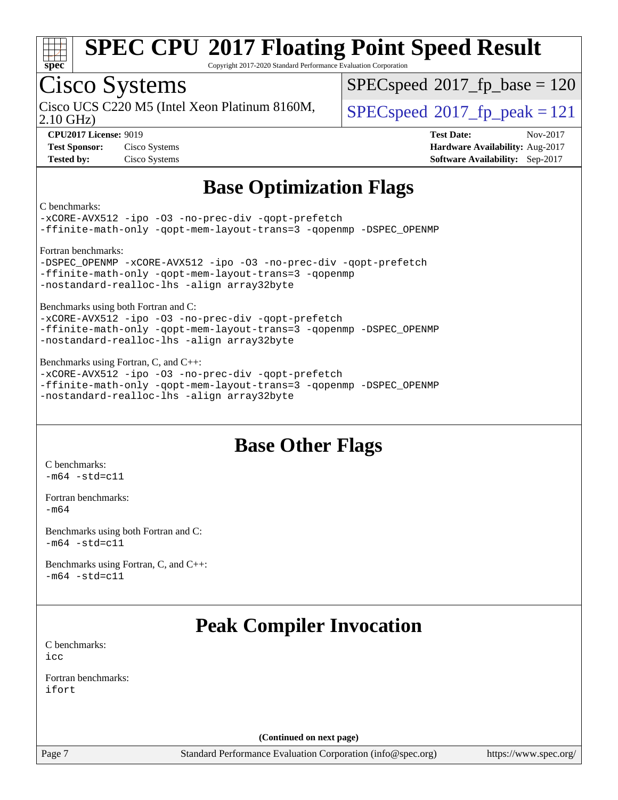

Copyright 2017-2020 Standard Performance Evaluation Corporation

# Cisco Systems

2.10 GHz) Cisco UCS C220 M5 (Intel Xeon Platinum 8160M,  $\big|$  [SPECspeed](http://www.spec.org/auto/cpu2017/Docs/result-fields.html#SPECspeed2017fppeak)®2017 fp\_peak = 121

[SPECspeed](http://www.spec.org/auto/cpu2017/Docs/result-fields.html#SPECspeed2017fpbase)<sup>®</sup>2017 fp base = 120

**[Test Sponsor:](http://www.spec.org/auto/cpu2017/Docs/result-fields.html#TestSponsor)** Cisco Systems **[Hardware Availability:](http://www.spec.org/auto/cpu2017/Docs/result-fields.html#HardwareAvailability)** Aug-2017

**[CPU2017 License:](http://www.spec.org/auto/cpu2017/Docs/result-fields.html#CPU2017License)** 9019 **[Test Date:](http://www.spec.org/auto/cpu2017/Docs/result-fields.html#TestDate)** Nov-2017 **[Tested by:](http://www.spec.org/auto/cpu2017/Docs/result-fields.html#Testedby)** Cisco Systems **[Software Availability:](http://www.spec.org/auto/cpu2017/Docs/result-fields.html#SoftwareAvailability)** Sep-2017

## **[Base Optimization Flags](http://www.spec.org/auto/cpu2017/Docs/result-fields.html#BaseOptimizationFlags)**

[C benchmarks:](http://www.spec.org/auto/cpu2017/Docs/result-fields.html#Cbenchmarks)

[-xCORE-AVX512](http://www.spec.org/cpu2017/results/res2017q4/cpu2017-20171128-01109.flags.html#user_CCbase_f-xCORE-AVX512) [-ipo](http://www.spec.org/cpu2017/results/res2017q4/cpu2017-20171128-01109.flags.html#user_CCbase_f-ipo) -03 [-no-prec-div](http://www.spec.org/cpu2017/results/res2017q4/cpu2017-20171128-01109.flags.html#user_CCbase_f-no-prec-div) [-qopt-prefetch](http://www.spec.org/cpu2017/results/res2017q4/cpu2017-20171128-01109.flags.html#user_CCbase_f-qopt-prefetch) [-ffinite-math-only](http://www.spec.org/cpu2017/results/res2017q4/cpu2017-20171128-01109.flags.html#user_CCbase_f_finite_math_only_cb91587bd2077682c4b38af759c288ed7c732db004271a9512da14a4f8007909a5f1427ecbf1a0fb78ff2a814402c6114ac565ca162485bbcae155b5e4258871) [-qopt-mem-layout-trans=3](http://www.spec.org/cpu2017/results/res2017q4/cpu2017-20171128-01109.flags.html#user_CCbase_f-qopt-mem-layout-trans_de80db37974c74b1f0e20d883f0b675c88c3b01e9d123adea9b28688d64333345fb62bc4a798493513fdb68f60282f9a726aa07f478b2f7113531aecce732043) [-qopenmp](http://www.spec.org/cpu2017/results/res2017q4/cpu2017-20171128-01109.flags.html#user_CCbase_qopenmp_16be0c44f24f464004c6784a7acb94aca937f053568ce72f94b139a11c7c168634a55f6653758ddd83bcf7b8463e8028bb0b48b77bcddc6b78d5d95bb1df2967) [-DSPEC\\_OPENMP](http://www.spec.org/cpu2017/results/res2017q4/cpu2017-20171128-01109.flags.html#suite_CCbase_DSPEC_OPENMP) [Fortran benchmarks:](http://www.spec.org/auto/cpu2017/Docs/result-fields.html#Fortranbenchmarks)

[-DSPEC\\_OPENMP](http://www.spec.org/cpu2017/results/res2017q4/cpu2017-20171128-01109.flags.html#suite_FCbase_DSPEC_OPENMP) [-xCORE-AVX512](http://www.spec.org/cpu2017/results/res2017q4/cpu2017-20171128-01109.flags.html#user_FCbase_f-xCORE-AVX512) [-ipo](http://www.spec.org/cpu2017/results/res2017q4/cpu2017-20171128-01109.flags.html#user_FCbase_f-ipo) [-O3](http://www.spec.org/cpu2017/results/res2017q4/cpu2017-20171128-01109.flags.html#user_FCbase_f-O3) [-no-prec-div](http://www.spec.org/cpu2017/results/res2017q4/cpu2017-20171128-01109.flags.html#user_FCbase_f-no-prec-div) [-qopt-prefetch](http://www.spec.org/cpu2017/results/res2017q4/cpu2017-20171128-01109.flags.html#user_FCbase_f-qopt-prefetch) [-ffinite-math-only](http://www.spec.org/cpu2017/results/res2017q4/cpu2017-20171128-01109.flags.html#user_FCbase_f_finite_math_only_cb91587bd2077682c4b38af759c288ed7c732db004271a9512da14a4f8007909a5f1427ecbf1a0fb78ff2a814402c6114ac565ca162485bbcae155b5e4258871) [-qopt-mem-layout-trans=3](http://www.spec.org/cpu2017/results/res2017q4/cpu2017-20171128-01109.flags.html#user_FCbase_f-qopt-mem-layout-trans_de80db37974c74b1f0e20d883f0b675c88c3b01e9d123adea9b28688d64333345fb62bc4a798493513fdb68f60282f9a726aa07f478b2f7113531aecce732043) [-qopenmp](http://www.spec.org/cpu2017/results/res2017q4/cpu2017-20171128-01109.flags.html#user_FCbase_qopenmp_16be0c44f24f464004c6784a7acb94aca937f053568ce72f94b139a11c7c168634a55f6653758ddd83bcf7b8463e8028bb0b48b77bcddc6b78d5d95bb1df2967) [-nostandard-realloc-lhs](http://www.spec.org/cpu2017/results/res2017q4/cpu2017-20171128-01109.flags.html#user_FCbase_f_2003_std_realloc_82b4557e90729c0f113870c07e44d33d6f5a304b4f63d4c15d2d0f1fab99f5daaed73bdb9275d9ae411527f28b936061aa8b9c8f2d63842963b95c9dd6426b8a) [-align array32byte](http://www.spec.org/cpu2017/results/res2017q4/cpu2017-20171128-01109.flags.html#user_FCbase_align_array32byte_b982fe038af199962ba9a80c053b8342c548c85b40b8e86eb3cc33dee0d7986a4af373ac2d51c3f7cf710a18d62fdce2948f201cd044323541f22fc0fffc51b6)

[Benchmarks using both Fortran and C:](http://www.spec.org/auto/cpu2017/Docs/result-fields.html#BenchmarksusingbothFortranandC)

[-xCORE-AVX512](http://www.spec.org/cpu2017/results/res2017q4/cpu2017-20171128-01109.flags.html#user_CC_FCbase_f-xCORE-AVX512) [-ipo](http://www.spec.org/cpu2017/results/res2017q4/cpu2017-20171128-01109.flags.html#user_CC_FCbase_f-ipo) [-O3](http://www.spec.org/cpu2017/results/res2017q4/cpu2017-20171128-01109.flags.html#user_CC_FCbase_f-O3) [-no-prec-div](http://www.spec.org/cpu2017/results/res2017q4/cpu2017-20171128-01109.flags.html#user_CC_FCbase_f-no-prec-div) [-qopt-prefetch](http://www.spec.org/cpu2017/results/res2017q4/cpu2017-20171128-01109.flags.html#user_CC_FCbase_f-qopt-prefetch) [-ffinite-math-only](http://www.spec.org/cpu2017/results/res2017q4/cpu2017-20171128-01109.flags.html#user_CC_FCbase_f_finite_math_only_cb91587bd2077682c4b38af759c288ed7c732db004271a9512da14a4f8007909a5f1427ecbf1a0fb78ff2a814402c6114ac565ca162485bbcae155b5e4258871) [-qopt-mem-layout-trans=3](http://www.spec.org/cpu2017/results/res2017q4/cpu2017-20171128-01109.flags.html#user_CC_FCbase_f-qopt-mem-layout-trans_de80db37974c74b1f0e20d883f0b675c88c3b01e9d123adea9b28688d64333345fb62bc4a798493513fdb68f60282f9a726aa07f478b2f7113531aecce732043) [-qopenmp](http://www.spec.org/cpu2017/results/res2017q4/cpu2017-20171128-01109.flags.html#user_CC_FCbase_qopenmp_16be0c44f24f464004c6784a7acb94aca937f053568ce72f94b139a11c7c168634a55f6653758ddd83bcf7b8463e8028bb0b48b77bcddc6b78d5d95bb1df2967) [-DSPEC\\_OPENMP](http://www.spec.org/cpu2017/results/res2017q4/cpu2017-20171128-01109.flags.html#suite_CC_FCbase_DSPEC_OPENMP) [-nostandard-realloc-lhs](http://www.spec.org/cpu2017/results/res2017q4/cpu2017-20171128-01109.flags.html#user_CC_FCbase_f_2003_std_realloc_82b4557e90729c0f113870c07e44d33d6f5a304b4f63d4c15d2d0f1fab99f5daaed73bdb9275d9ae411527f28b936061aa8b9c8f2d63842963b95c9dd6426b8a) [-align array32byte](http://www.spec.org/cpu2017/results/res2017q4/cpu2017-20171128-01109.flags.html#user_CC_FCbase_align_array32byte_b982fe038af199962ba9a80c053b8342c548c85b40b8e86eb3cc33dee0d7986a4af373ac2d51c3f7cf710a18d62fdce2948f201cd044323541f22fc0fffc51b6)

[Benchmarks using Fortran, C, and C++](http://www.spec.org/auto/cpu2017/Docs/result-fields.html#BenchmarksusingFortranCandCXX): [-xCORE-AVX512](http://www.spec.org/cpu2017/results/res2017q4/cpu2017-20171128-01109.flags.html#user_CC_CXX_FCbase_f-xCORE-AVX512) [-ipo](http://www.spec.org/cpu2017/results/res2017q4/cpu2017-20171128-01109.flags.html#user_CC_CXX_FCbase_f-ipo) [-O3](http://www.spec.org/cpu2017/results/res2017q4/cpu2017-20171128-01109.flags.html#user_CC_CXX_FCbase_f-O3) [-no-prec-div](http://www.spec.org/cpu2017/results/res2017q4/cpu2017-20171128-01109.flags.html#user_CC_CXX_FCbase_f-no-prec-div) [-qopt-prefetch](http://www.spec.org/cpu2017/results/res2017q4/cpu2017-20171128-01109.flags.html#user_CC_CXX_FCbase_f-qopt-prefetch) [-ffinite-math-only](http://www.spec.org/cpu2017/results/res2017q4/cpu2017-20171128-01109.flags.html#user_CC_CXX_FCbase_f_finite_math_only_cb91587bd2077682c4b38af759c288ed7c732db004271a9512da14a4f8007909a5f1427ecbf1a0fb78ff2a814402c6114ac565ca162485bbcae155b5e4258871) [-qopt-mem-layout-trans=3](http://www.spec.org/cpu2017/results/res2017q4/cpu2017-20171128-01109.flags.html#user_CC_CXX_FCbase_f-qopt-mem-layout-trans_de80db37974c74b1f0e20d883f0b675c88c3b01e9d123adea9b28688d64333345fb62bc4a798493513fdb68f60282f9a726aa07f478b2f7113531aecce732043) [-qopenmp](http://www.spec.org/cpu2017/results/res2017q4/cpu2017-20171128-01109.flags.html#user_CC_CXX_FCbase_qopenmp_16be0c44f24f464004c6784a7acb94aca937f053568ce72f94b139a11c7c168634a55f6653758ddd83bcf7b8463e8028bb0b48b77bcddc6b78d5d95bb1df2967) [-DSPEC\\_OPENMP](http://www.spec.org/cpu2017/results/res2017q4/cpu2017-20171128-01109.flags.html#suite_CC_CXX_FCbase_DSPEC_OPENMP) [-nostandard-realloc-lhs](http://www.spec.org/cpu2017/results/res2017q4/cpu2017-20171128-01109.flags.html#user_CC_CXX_FCbase_f_2003_std_realloc_82b4557e90729c0f113870c07e44d33d6f5a304b4f63d4c15d2d0f1fab99f5daaed73bdb9275d9ae411527f28b936061aa8b9c8f2d63842963b95c9dd6426b8a) [-align array32byte](http://www.spec.org/cpu2017/results/res2017q4/cpu2017-20171128-01109.flags.html#user_CC_CXX_FCbase_align_array32byte_b982fe038af199962ba9a80c053b8342c548c85b40b8e86eb3cc33dee0d7986a4af373ac2d51c3f7cf710a18d62fdce2948f201cd044323541f22fc0fffc51b6)

## **[Base Other Flags](http://www.spec.org/auto/cpu2017/Docs/result-fields.html#BaseOtherFlags)**

[C benchmarks](http://www.spec.org/auto/cpu2017/Docs/result-fields.html#Cbenchmarks):  $-m64 - std= c11$  $-m64 - std= c11$ 

[Fortran benchmarks](http://www.spec.org/auto/cpu2017/Docs/result-fields.html#Fortranbenchmarks): [-m64](http://www.spec.org/cpu2017/results/res2017q4/cpu2017-20171128-01109.flags.html#user_FCbase_intel_intel64_18.0_af43caccfc8ded86e7699f2159af6efc7655f51387b94da716254467f3c01020a5059329e2569e4053f409e7c9202a7efc638f7a6d1ffb3f52dea4a3e31d82ab)

[Benchmarks using both Fortran and C](http://www.spec.org/auto/cpu2017/Docs/result-fields.html#BenchmarksusingbothFortranandC):  $-m64$   $-std=cl1$ 

[Benchmarks using Fortran, C, and C++:](http://www.spec.org/auto/cpu2017/Docs/result-fields.html#BenchmarksusingFortranCandCXX)  $-m64 - std= c11$  $-m64 - std= c11$ 

## **[Peak Compiler Invocation](http://www.spec.org/auto/cpu2017/Docs/result-fields.html#PeakCompilerInvocation)**

[C benchmarks](http://www.spec.org/auto/cpu2017/Docs/result-fields.html#Cbenchmarks): [icc](http://www.spec.org/cpu2017/results/res2017q4/cpu2017-20171128-01109.flags.html#user_CCpeak_intel_icc_18.0_66fc1ee009f7361af1fbd72ca7dcefbb700085f36577c54f309893dd4ec40d12360134090235512931783d35fd58c0460139e722d5067c5574d8eaf2b3e37e92)

[Fortran benchmarks](http://www.spec.org/auto/cpu2017/Docs/result-fields.html#Fortranbenchmarks): [ifort](http://www.spec.org/cpu2017/results/res2017q4/cpu2017-20171128-01109.flags.html#user_FCpeak_intel_ifort_18.0_8111460550e3ca792625aed983ce982f94888b8b503583aa7ba2b8303487b4d8a21a13e7191a45c5fd58ff318f48f9492884d4413fa793fd88dd292cad7027ca)

**(Continued on next page)**

Page 7 Standard Performance Evaluation Corporation [\(info@spec.org\)](mailto:info@spec.org) <https://www.spec.org/>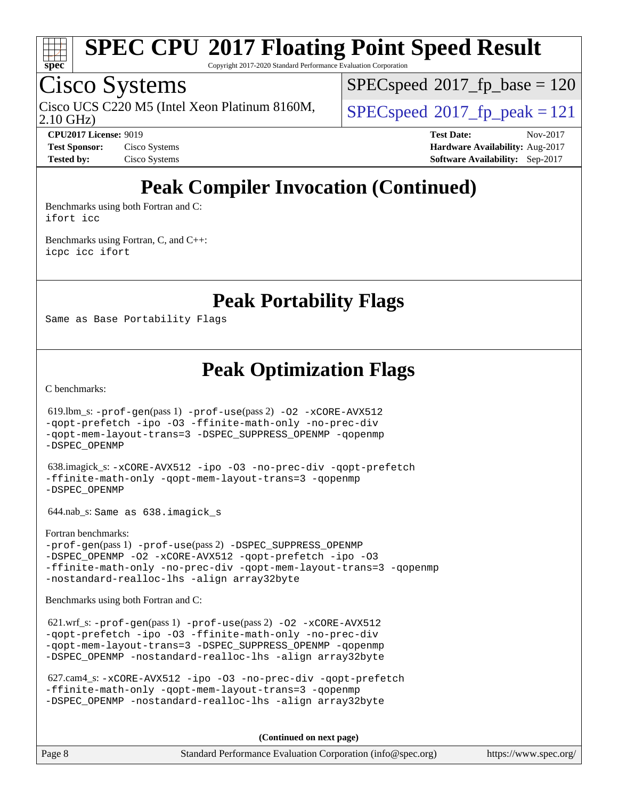

Copyright 2017-2020 Standard Performance Evaluation Corporation

## Cisco Systems

2.10 GHz) Cisco UCS C220 M5 (Intel Xeon Platinum 8160M,  $\big|$  [SPECspeed](http://www.spec.org/auto/cpu2017/Docs/result-fields.html#SPECspeed2017fppeak)®2017 fp\_peak = 121

[SPECspeed](http://www.spec.org/auto/cpu2017/Docs/result-fields.html#SPECspeed2017fpbase)<sup>®</sup>2017 fp base = 120

**[CPU2017 License:](http://www.spec.org/auto/cpu2017/Docs/result-fields.html#CPU2017License)** 9019 **[Test Date:](http://www.spec.org/auto/cpu2017/Docs/result-fields.html#TestDate)** Nov-2017 **[Test Sponsor:](http://www.spec.org/auto/cpu2017/Docs/result-fields.html#TestSponsor)** Cisco Systems **[Hardware Availability:](http://www.spec.org/auto/cpu2017/Docs/result-fields.html#HardwareAvailability)** Aug-2017 **[Tested by:](http://www.spec.org/auto/cpu2017/Docs/result-fields.html#Testedby)** Cisco Systems **[Software Availability:](http://www.spec.org/auto/cpu2017/Docs/result-fields.html#SoftwareAvailability)** Sep-2017

## **[Peak Compiler Invocation \(Continued\)](http://www.spec.org/auto/cpu2017/Docs/result-fields.html#PeakCompilerInvocation)**

[Benchmarks using both Fortran and C](http://www.spec.org/auto/cpu2017/Docs/result-fields.html#BenchmarksusingbothFortranandC): [ifort](http://www.spec.org/cpu2017/results/res2017q4/cpu2017-20171128-01109.flags.html#user_CC_FCpeak_intel_ifort_18.0_8111460550e3ca792625aed983ce982f94888b8b503583aa7ba2b8303487b4d8a21a13e7191a45c5fd58ff318f48f9492884d4413fa793fd88dd292cad7027ca) [icc](http://www.spec.org/cpu2017/results/res2017q4/cpu2017-20171128-01109.flags.html#user_CC_FCpeak_intel_icc_18.0_66fc1ee009f7361af1fbd72ca7dcefbb700085f36577c54f309893dd4ec40d12360134090235512931783d35fd58c0460139e722d5067c5574d8eaf2b3e37e92)

[Benchmarks using Fortran, C, and C++:](http://www.spec.org/auto/cpu2017/Docs/result-fields.html#BenchmarksusingFortranCandCXX) [icpc](http://www.spec.org/cpu2017/results/res2017q4/cpu2017-20171128-01109.flags.html#user_CC_CXX_FCpeak_intel_icpc_18.0_c510b6838c7f56d33e37e94d029a35b4a7bccf4766a728ee175e80a419847e808290a9b78be685c44ab727ea267ec2f070ec5dc83b407c0218cded6866a35d07) [icc](http://www.spec.org/cpu2017/results/res2017q4/cpu2017-20171128-01109.flags.html#user_CC_CXX_FCpeak_intel_icc_18.0_66fc1ee009f7361af1fbd72ca7dcefbb700085f36577c54f309893dd4ec40d12360134090235512931783d35fd58c0460139e722d5067c5574d8eaf2b3e37e92) [ifort](http://www.spec.org/cpu2017/results/res2017q4/cpu2017-20171128-01109.flags.html#user_CC_CXX_FCpeak_intel_ifort_18.0_8111460550e3ca792625aed983ce982f94888b8b503583aa7ba2b8303487b4d8a21a13e7191a45c5fd58ff318f48f9492884d4413fa793fd88dd292cad7027ca)

**[Peak Portability Flags](http://www.spec.org/auto/cpu2017/Docs/result-fields.html#PeakPortabilityFlags)**

Same as Base Portability Flags

**[Peak Optimization Flags](http://www.spec.org/auto/cpu2017/Docs/result-fields.html#PeakOptimizationFlags)**

[C benchmarks](http://www.spec.org/auto/cpu2017/Docs/result-fields.html#Cbenchmarks):

619.lbm\_s:  $-prof-qen(pass 1) -prof-use(pass 2) -O2 -xCORE-AVX512$  $-prof-qen(pass 1) -prof-use(pass 2) -O2 -xCORE-AVX512$  $-prof-qen(pass 1) -prof-use(pass 2) -O2 -xCORE-AVX512$  $-prof-qen(pass 1) -prof-use(pass 2) -O2 -xCORE-AVX512$  $-prof-qen(pass 1) -prof-use(pass 2) -O2 -xCORE-AVX512$  $-prof-qen(pass 1) -prof-use(pass 2) -O2 -xCORE-AVX512$ [-qopt-prefetch](http://www.spec.org/cpu2017/results/res2017q4/cpu2017-20171128-01109.flags.html#user_peakPASS1_COPTIMIZEPASS2_COPTIMIZE619_lbm_s_f-qopt-prefetch) [-ipo](http://www.spec.org/cpu2017/results/res2017q4/cpu2017-20171128-01109.flags.html#user_peakPASS2_COPTIMIZE619_lbm_s_f-ipo) [-O3](http://www.spec.org/cpu2017/results/res2017q4/cpu2017-20171128-01109.flags.html#user_peakPASS2_COPTIMIZE619_lbm_s_f-O3) [-ffinite-math-only](http://www.spec.org/cpu2017/results/res2017q4/cpu2017-20171128-01109.flags.html#user_peakPASS1_COPTIMIZEPASS2_COPTIMIZE619_lbm_s_f_finite_math_only_cb91587bd2077682c4b38af759c288ed7c732db004271a9512da14a4f8007909a5f1427ecbf1a0fb78ff2a814402c6114ac565ca162485bbcae155b5e4258871) [-no-prec-div](http://www.spec.org/cpu2017/results/res2017q4/cpu2017-20171128-01109.flags.html#user_peakPASS2_COPTIMIZE619_lbm_s_f-no-prec-div) [-qopt-mem-layout-trans=3](http://www.spec.org/cpu2017/results/res2017q4/cpu2017-20171128-01109.flags.html#user_peakPASS1_COPTIMIZEPASS2_COPTIMIZE619_lbm_s_f-qopt-mem-layout-trans_de80db37974c74b1f0e20d883f0b675c88c3b01e9d123adea9b28688d64333345fb62bc4a798493513fdb68f60282f9a726aa07f478b2f7113531aecce732043) [-DSPEC\\_SUPPRESS\\_OPENMP](http://www.spec.org/cpu2017/results/res2017q4/cpu2017-20171128-01109.flags.html#suite_peakPASS1_COPTIMIZE619_lbm_s_DSPEC_SUPPRESS_OPENMP) [-qopenmp](http://www.spec.org/cpu2017/results/res2017q4/cpu2017-20171128-01109.flags.html#user_peakPASS2_COPTIMIZE619_lbm_s_qopenmp_16be0c44f24f464004c6784a7acb94aca937f053568ce72f94b139a11c7c168634a55f6653758ddd83bcf7b8463e8028bb0b48b77bcddc6b78d5d95bb1df2967) [-DSPEC\\_OPENMP](http://www.spec.org/cpu2017/results/res2017q4/cpu2017-20171128-01109.flags.html#suite_peakPASS2_COPTIMIZE619_lbm_s_DSPEC_OPENMP) 638.imagick\_s: [-xCORE-AVX512](http://www.spec.org/cpu2017/results/res2017q4/cpu2017-20171128-01109.flags.html#user_peakCOPTIMIZE638_imagick_s_f-xCORE-AVX512) [-ipo](http://www.spec.org/cpu2017/results/res2017q4/cpu2017-20171128-01109.flags.html#user_peakCOPTIMIZE638_imagick_s_f-ipo) [-O3](http://www.spec.org/cpu2017/results/res2017q4/cpu2017-20171128-01109.flags.html#user_peakCOPTIMIZE638_imagick_s_f-O3) [-no-prec-div](http://www.spec.org/cpu2017/results/res2017q4/cpu2017-20171128-01109.flags.html#user_peakCOPTIMIZE638_imagick_s_f-no-prec-div) [-qopt-prefetch](http://www.spec.org/cpu2017/results/res2017q4/cpu2017-20171128-01109.flags.html#user_peakCOPTIMIZE638_imagick_s_f-qopt-prefetch) [-ffinite-math-only](http://www.spec.org/cpu2017/results/res2017q4/cpu2017-20171128-01109.flags.html#user_peakCOPTIMIZE638_imagick_s_f_finite_math_only_cb91587bd2077682c4b38af759c288ed7c732db004271a9512da14a4f8007909a5f1427ecbf1a0fb78ff2a814402c6114ac565ca162485bbcae155b5e4258871) [-qopt-mem-layout-trans=3](http://www.spec.org/cpu2017/results/res2017q4/cpu2017-20171128-01109.flags.html#user_peakCOPTIMIZE638_imagick_s_f-qopt-mem-layout-trans_de80db37974c74b1f0e20d883f0b675c88c3b01e9d123adea9b28688d64333345fb62bc4a798493513fdb68f60282f9a726aa07f478b2f7113531aecce732043) [-qopenmp](http://www.spec.org/cpu2017/results/res2017q4/cpu2017-20171128-01109.flags.html#user_peakCOPTIMIZE638_imagick_s_qopenmp_16be0c44f24f464004c6784a7acb94aca937f053568ce72f94b139a11c7c168634a55f6653758ddd83bcf7b8463e8028bb0b48b77bcddc6b78d5d95bb1df2967) [-DSPEC\\_OPENMP](http://www.spec.org/cpu2017/results/res2017q4/cpu2017-20171128-01109.flags.html#suite_peakCOPTIMIZE638_imagick_s_DSPEC_OPENMP) 644.nab\_s: Same as 638.imagick\_s [Fortran benchmarks](http://www.spec.org/auto/cpu2017/Docs/result-fields.html#Fortranbenchmarks): [-prof-gen](http://www.spec.org/cpu2017/results/res2017q4/cpu2017-20171128-01109.flags.html#user_FCpeak_prof_gen_5aa4926d6013ddb2a31985c654b3eb18169fc0c6952a63635c234f711e6e63dd76e94ad52365559451ec499a2cdb89e4dc58ba4c67ef54ca681ffbe1461d6b36)(pass 1) [-prof-use](http://www.spec.org/cpu2017/results/res2017q4/cpu2017-20171128-01109.flags.html#user_FCpeak_prof_use_1a21ceae95f36a2b53c25747139a6c16ca95bd9def2a207b4f0849963b97e94f5260e30a0c64f4bb623698870e679ca08317ef8150905d41bd88c6f78df73f19)(pass 2) [-DSPEC\\_SUPPRESS\\_OPENMP](http://www.spec.org/cpu2017/results/res2017q4/cpu2017-20171128-01109.flags.html#suite_FCpeak_DSPEC_SUPPRESS_OPENMP) -DSPEC OPENMP [-O2](http://www.spec.org/cpu2017/results/res2017q4/cpu2017-20171128-01109.flags.html#user_FCpeak_f-O2) [-xCORE-AVX512](http://www.spec.org/cpu2017/results/res2017q4/cpu2017-20171128-01109.flags.html#user_FCpeak_f-xCORE-AVX512) [-qopt-prefetch](http://www.spec.org/cpu2017/results/res2017q4/cpu2017-20171128-01109.flags.html#user_FCpeak_f-qopt-prefetch) [-ipo](http://www.spec.org/cpu2017/results/res2017q4/cpu2017-20171128-01109.flags.html#user_FCpeak_f-ipo) [-O3](http://www.spec.org/cpu2017/results/res2017q4/cpu2017-20171128-01109.flags.html#user_FCpeak_f-O3) [-ffinite-math-only](http://www.spec.org/cpu2017/results/res2017q4/cpu2017-20171128-01109.flags.html#user_FCpeak_f_finite_math_only_cb91587bd2077682c4b38af759c288ed7c732db004271a9512da14a4f8007909a5f1427ecbf1a0fb78ff2a814402c6114ac565ca162485bbcae155b5e4258871) [-no-prec-div](http://www.spec.org/cpu2017/results/res2017q4/cpu2017-20171128-01109.flags.html#user_FCpeak_f-no-prec-div) [-qopt-mem-layout-trans=3](http://www.spec.org/cpu2017/results/res2017q4/cpu2017-20171128-01109.flags.html#user_FCpeak_f-qopt-mem-layout-trans_de80db37974c74b1f0e20d883f0b675c88c3b01e9d123adea9b28688d64333345fb62bc4a798493513fdb68f60282f9a726aa07f478b2f7113531aecce732043) [-qopenmp](http://www.spec.org/cpu2017/results/res2017q4/cpu2017-20171128-01109.flags.html#user_FCpeak_qopenmp_16be0c44f24f464004c6784a7acb94aca937f053568ce72f94b139a11c7c168634a55f6653758ddd83bcf7b8463e8028bb0b48b77bcddc6b78d5d95bb1df2967) [-nostandard-realloc-lhs](http://www.spec.org/cpu2017/results/res2017q4/cpu2017-20171128-01109.flags.html#user_FCpeak_f_2003_std_realloc_82b4557e90729c0f113870c07e44d33d6f5a304b4f63d4c15d2d0f1fab99f5daaed73bdb9275d9ae411527f28b936061aa8b9c8f2d63842963b95c9dd6426b8a) [-align array32byte](http://www.spec.org/cpu2017/results/res2017q4/cpu2017-20171128-01109.flags.html#user_FCpeak_align_array32byte_b982fe038af199962ba9a80c053b8342c548c85b40b8e86eb3cc33dee0d7986a4af373ac2d51c3f7cf710a18d62fdce2948f201cd044323541f22fc0fffc51b6) [Benchmarks using both Fortran and C](http://www.spec.org/auto/cpu2017/Docs/result-fields.html#BenchmarksusingbothFortranandC): 621.wrf\_s: [-prof-gen](http://www.spec.org/cpu2017/results/res2017q4/cpu2017-20171128-01109.flags.html#user_peakPASS1_CFLAGSPASS1_FFLAGSPASS1_LDFLAGS621_wrf_s_prof_gen_5aa4926d6013ddb2a31985c654b3eb18169fc0c6952a63635c234f711e6e63dd76e94ad52365559451ec499a2cdb89e4dc58ba4c67ef54ca681ffbe1461d6b36)(pass 1) [-prof-use](http://www.spec.org/cpu2017/results/res2017q4/cpu2017-20171128-01109.flags.html#user_peakPASS2_CFLAGSPASS2_FFLAGSPASS2_LDFLAGS621_wrf_s_prof_use_1a21ceae95f36a2b53c25747139a6c16ca95bd9def2a207b4f0849963b97e94f5260e30a0c64f4bb623698870e679ca08317ef8150905d41bd88c6f78df73f19)(pass 2) [-O2](http://www.spec.org/cpu2017/results/res2017q4/cpu2017-20171128-01109.flags.html#user_peakPASS1_COPTIMIZEPASS1_FOPTIMIZE621_wrf_s_f-O2) [-xCORE-AVX512](http://www.spec.org/cpu2017/results/res2017q4/cpu2017-20171128-01109.flags.html#user_peakPASS2_COPTIMIZEPASS2_FOPTIMIZE621_wrf_s_f-xCORE-AVX512) [-qopt-prefetch](http://www.spec.org/cpu2017/results/res2017q4/cpu2017-20171128-01109.flags.html#user_peakPASS1_COPTIMIZEPASS1_FOPTIMIZEPASS2_COPTIMIZEPASS2_FOPTIMIZE621_wrf_s_f-qopt-prefetch) [-ipo](http://www.spec.org/cpu2017/results/res2017q4/cpu2017-20171128-01109.flags.html#user_peakPASS2_COPTIMIZEPASS2_FOPTIMIZE621_wrf_s_f-ipo) [-O3](http://www.spec.org/cpu2017/results/res2017q4/cpu2017-20171128-01109.flags.html#user_peakPASS2_COPTIMIZEPASS2_FOPTIMIZE621_wrf_s_f-O3) [-ffinite-math-only](http://www.spec.org/cpu2017/results/res2017q4/cpu2017-20171128-01109.flags.html#user_peakPASS1_COPTIMIZEPASS1_FOPTIMIZEPASS2_COPTIMIZEPASS2_FOPTIMIZE621_wrf_s_f_finite_math_only_cb91587bd2077682c4b38af759c288ed7c732db004271a9512da14a4f8007909a5f1427ecbf1a0fb78ff2a814402c6114ac565ca162485bbcae155b5e4258871) [-no-prec-div](http://www.spec.org/cpu2017/results/res2017q4/cpu2017-20171128-01109.flags.html#user_peakPASS2_COPTIMIZEPASS2_FOPTIMIZE621_wrf_s_f-no-prec-div) [-qopt-mem-layout-trans=3](http://www.spec.org/cpu2017/results/res2017q4/cpu2017-20171128-01109.flags.html#user_peakPASS1_COPTIMIZEPASS1_FOPTIMIZEPASS2_COPTIMIZEPASS2_FOPTIMIZE621_wrf_s_f-qopt-mem-layout-trans_de80db37974c74b1f0e20d883f0b675c88c3b01e9d123adea9b28688d64333345fb62bc4a798493513fdb68f60282f9a726aa07f478b2f7113531aecce732043) [-DSPEC\\_SUPPRESS\\_OPENMP](http://www.spec.org/cpu2017/results/res2017q4/cpu2017-20171128-01109.flags.html#suite_peakPASS1_COPTIMIZEPASS1_FOPTIMIZE621_wrf_s_DSPEC_SUPPRESS_OPENMP) [-qopenmp](http://www.spec.org/cpu2017/results/res2017q4/cpu2017-20171128-01109.flags.html#user_peakPASS2_COPTIMIZEPASS2_FOPTIMIZE621_wrf_s_qopenmp_16be0c44f24f464004c6784a7acb94aca937f053568ce72f94b139a11c7c168634a55f6653758ddd83bcf7b8463e8028bb0b48b77bcddc6b78d5d95bb1df2967) [-DSPEC\\_OPENMP](http://www.spec.org/cpu2017/results/res2017q4/cpu2017-20171128-01109.flags.html#suite_peakPASS2_COPTIMIZEPASS2_FOPTIMIZE621_wrf_s_DSPEC_OPENMP) [-nostandard-realloc-lhs](http://www.spec.org/cpu2017/results/res2017q4/cpu2017-20171128-01109.flags.html#user_peakEXTRA_FOPTIMIZE621_wrf_s_f_2003_std_realloc_82b4557e90729c0f113870c07e44d33d6f5a304b4f63d4c15d2d0f1fab99f5daaed73bdb9275d9ae411527f28b936061aa8b9c8f2d63842963b95c9dd6426b8a) [-align array32byte](http://www.spec.org/cpu2017/results/res2017q4/cpu2017-20171128-01109.flags.html#user_peakEXTRA_FOPTIMIZE621_wrf_s_align_array32byte_b982fe038af199962ba9a80c053b8342c548c85b40b8e86eb3cc33dee0d7986a4af373ac2d51c3f7cf710a18d62fdce2948f201cd044323541f22fc0fffc51b6)

```
 627.cam4_s: -xCORE-AVX512 -ipo -O3 -no-prec-div -qopt-prefetch
-ffinite-math-only -qopt-mem-layout-trans=3 -qopenmp
-DSPEC_OPENMP -nostandard-realloc-lhs -align array32byte
```
**(Continued on next page)**